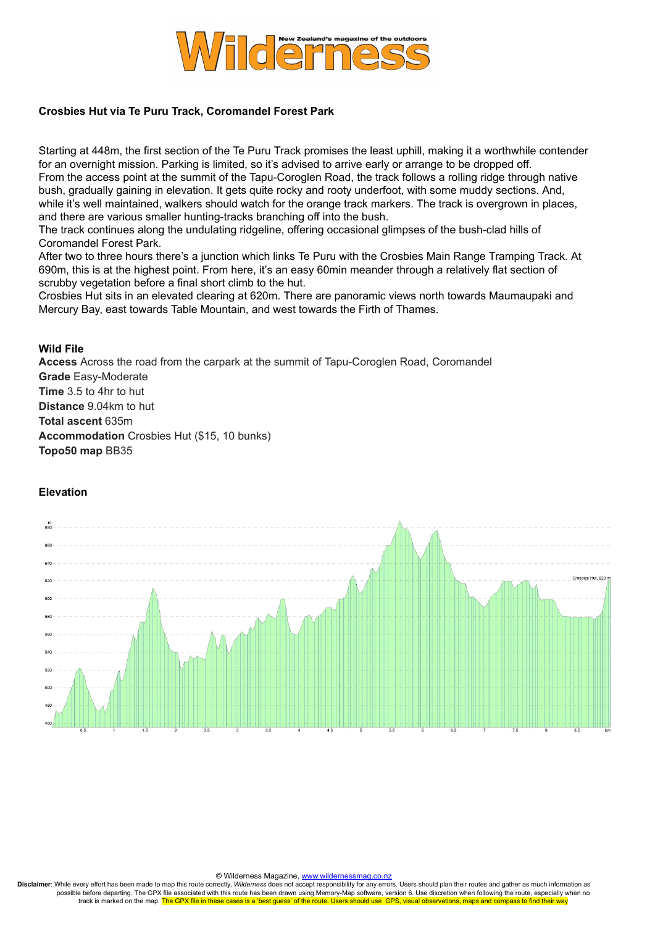

## **Crosbies Hut via Te Puru Track, Coromandel Forest Park**

Starting at 448m, the first section of the Te Puru Track promises the least uphill, making it a worthwhile contender for an overnight mission. Parking is limited, so it's advised to arrive early or arrange to be dropped off. From the access point at the summit of the Tapu-Coroglen Road, the track follows a rolling ridge through native bush, gradually gaining in elevation. It gets quite rocky and rooty underfoot, with some muddy sections. And, while it's well maintained, walkers should watch for the orange track markers. The track is overgrown in places, and there are various smaller hunting-tracks branching off into the bush.

The track continues along the undulating ridgeline, offering occasional glimpses of the bush-clad hills of Coromandel Forest Park.

After two to three hours there's a junction which links Te Puru with the Crosbies Main Range Tramping Track. At 690m, this is at the highest point. From here, it's an easy 60min meander through a relatively flat section of scrubby vegetation before a final short climb to the hut.

Crosbies Hut sits in an elevated clearing at 620m. There are panoramic views north towards Maumaupaki and Mercury Bay, east towards Table Mountain, and west towards the Firth of Thames.

## **Wild File**

**Access** Across the road from the carpark at the summit of Tapu-Coroglen Road, Coromandel **Grade** Easy-Moderate **Time** 3.5 to 4hr to hut **Distance** 9.04km to hut **Total ascent** 635m **Accommodation** Crosbies Hut (\$15, 10 bunks) **Topo50 map** BB35

## **Elevation**



© Wilderness Magazine, www.wilderne

**Disclaimer**: While every effort has been made to map this route correctly, *Wilderness* does not accept responsibility for any errors. Users should plan their routes and gather as much information as possible before departing. The GPX file associated with this route has been drawn using Memory-Map software, version 6. Use discretion when following the route, especially when no<br>track is marked on the map. The GPX file i tes is a 'best guess' of the route. Users should use GPS, visual observations, maps and compass to find their way